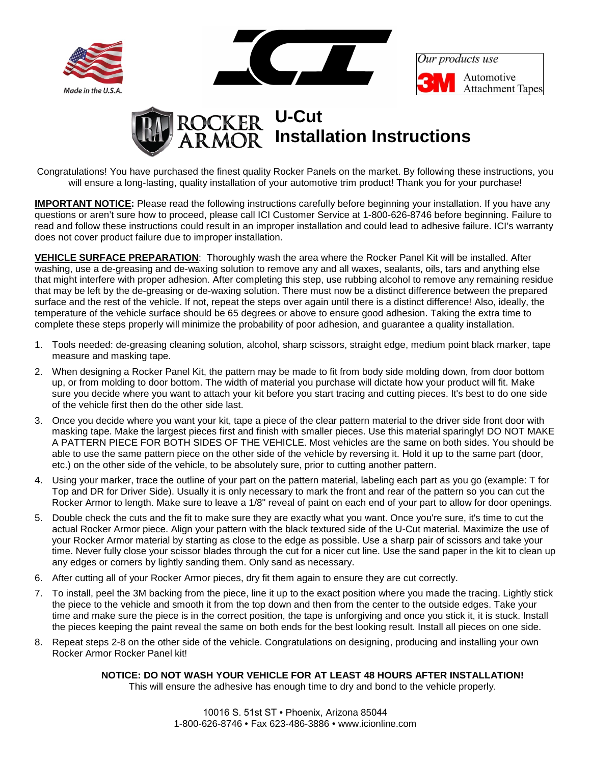



Our products use Automotive **Attachment Tapes** 



Congratulations! You have purchased the finest quality Rocker Panels on the market. By following these instructions, you will ensure a long-lasting, quality installation of your automotive trim product! Thank you for your purchase!

**IMPORTANT NOTICE:** Please read the following instructions carefully before beginning your installation. If you have any questions or aren't sure how to proceed, please call ICI Customer Service at 1-800-626-8746 before beginning. Failure to read and follow these instructions could result in an improper installation and could lead to adhesive failure. ICI's warranty does not cover product failure due to improper installation.

**VEHICLE SURFACE PREPARATION**: Thoroughly wash the area where the Rocker Panel Kit will be installed. After washing, use a de-greasing and de-waxing solution to remove any and all waxes, sealants, oils, tars and anything else that might interfere with proper adhesion. After completing this step, use rubbing alcohol to remove any remaining residue that may be left by the de-greasing or de-waxing solution. There must now be a distinct difference between the prepared surface and the rest of the vehicle. If not, repeat the steps over again until there is a distinct difference! Also, ideally, the temperature of the vehicle surface should be 65 degrees or above to ensure good adhesion. Taking the extra time to complete these steps properly will minimize the probability of poor adhesion, and guarantee a quality installation.

- 1. Tools needed: de-greasing cleaning solution, alcohol, sharp scissors, straight edge, medium point black marker, tape measure and masking tape.
- 2. When designing a Rocker Panel Kit, the pattern may be made to fit from body side molding down, from door bottom up, or from molding to door bottom. The width of material you purchase will dictate how your product will fit. Make sure you decide where you want to attach your kit before you start tracing and cutting pieces. It's best to do one side of the vehicle first then do the other side last.
- 3. Once you decide where you want your kit, tape a piece of the clear pattern material to the driver side front door with masking tape. Make the largest pieces first and finish with smaller pieces. Use this material sparingly! DO NOT MAKE A PATTERN PIECE FOR BOTH SIDES OF THE VEHICLE. Most vehicles are the same on both sides. You should be able to use the same pattern piece on the other side of the vehicle by reversing it. Hold it up to the same part (door, etc.) on the other side of the vehicle, to be absolutely sure, prior to cutting another pattern.
- 4. Using your marker, trace the outline of your part on the pattern material, labeling each part as you go (example: T for Top and DR for Driver Side). Usually it is only necessary to mark the front and rear of the pattern so you can cut the Rocker Armor to length. Make sure to leave a 1/8" reveal of paint on each end of your part to allow for door openings.
- 5. Double check the cuts and the fit to make sure they are exactly what you want. Once you're sure, it's time to cut the actual Rocker Armor piece. Align your pattern with the black textured side of the U-Cut material. Maximize the use of your Rocker Armor material by starting as close to the edge as possible. Use a sharp pair of scissors and take your time. Never fully close your scissor blades through the cut for a nicer cut line. Use the sand paper in the kit to clean up any edges or corners by lightly sanding them. Only sand as necessary.
- 6. After cutting all of your Rocker Armor pieces, dry fit them again to ensure they are cut correctly.
- 7. To install, peel the 3M backing from the piece, line it up to the exact position where you made the tracing. Lightly stick the piece to the vehicle and smooth it from the top down and then from the center to the outside edges. Take your time and make sure the piece is in the correct position, the tape is unforgiving and once you stick it, it is stuck. Install the pieces keeping the paint reveal the same on both ends for the best looking result. Install all pieces on one side.
- 8. Repeat steps 2-8 on the other side of the vehicle. Congratulations on designing, producing and installing your own Rocker Armor Rocker Panel kit!

## **NOTICE: DO NOT WASH YOUR VEHICLE FOR AT LEAST 48 HOURS AFTER INSTALLATION!**

This will ensure the adhesive has enough time to dry and bond to the vehicle properly.